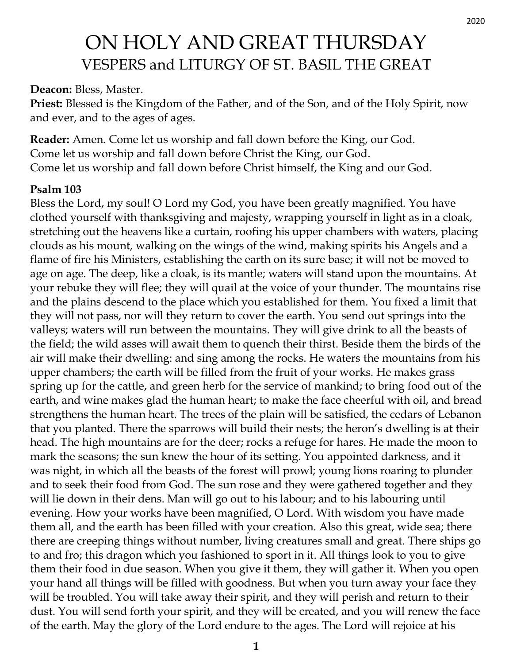# ON HOLY AND GREAT THURSDAY VESPERS and LITURGY OF ST. BASIL THE GREAT

**Deacon:** Bless, Master.

**Priest:** Blessed is the Kingdom of the Father, and of the Son, and of the Holy Spirit, now and ever, and to the ages of ages.

**Reader:** Amen. Come let us worship and fall down before the King, our God. Come let us worship and fall down before Christ the King, our God. Come let us worship and fall down before Christ himself, the King and our God.

#### **Psalm 103**

Bless the Lord, my soul! O Lord my God, you have been greatly magnified. You have clothed yourself with thanksgiving and majesty, wrapping yourself in light as in a cloak, stretching out the heavens like a curtain, roofing his upper chambers with waters, placing clouds as his mount, walking on the wings of the wind, making spirits his Angels and a flame of fire his Ministers, establishing the earth on its sure base; it will not be moved to age on age. The deep, like a cloak, is its mantle; waters will stand upon the mountains. At your rebuke they will flee; they will quail at the voice of your thunder. The mountains rise and the plains descend to the place which you established for them. You fixed a limit that they will not pass, nor will they return to cover the earth. You send out springs into the valleys; waters will run between the mountains. They will give drink to all the beasts of the field; the wild asses will await them to quench their thirst. Beside them the birds of the air will make their dwelling: and sing among the rocks. He waters the mountains from his upper chambers; the earth will be filled from the fruit of your works. He makes grass spring up for the cattle, and green herb for the service of mankind; to bring food out of the earth, and wine makes glad the human heart; to make the face cheerful with oil, and bread strengthens the human heart. The trees of the plain will be satisfied, the cedars of Lebanon that you planted. There the sparrows will build their nests; the heron's dwelling is at their head. The high mountains are for the deer; rocks a refuge for hares. He made the moon to mark the seasons; the sun knew the hour of its setting. You appointed darkness, and it was night, in which all the beasts of the forest will prowl; young lions roaring to plunder and to seek their food from God. The sun rose and they were gathered together and they will lie down in their dens. Man will go out to his labour; and to his labouring until evening. How your works have been magnified, O Lord. With wisdom you have made them all, and the earth has been filled with your creation. Also this great, wide sea; there there are creeping things without number, living creatures small and great. There ships go to and fro; this dragon which you fashioned to sport in it. All things look to you to give them their food in due season. When you give it them, they will gather it. When you open your hand all things will be filled with goodness. But when you turn away your face they will be troubled. You will take away their spirit, and they will perish and return to their dust. You will send forth your spirit, and they will be created, and you will renew the face of the earth. May the glory of the Lord endure to the ages. The Lord will rejoice at his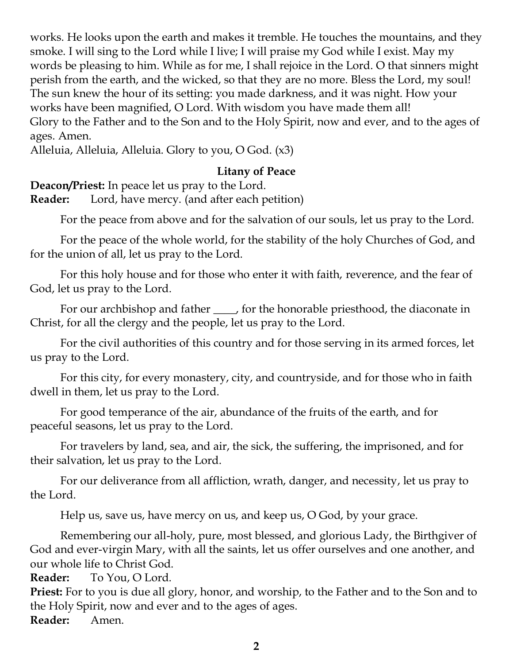works. He looks upon the earth and makes it tremble. He touches the mountains, and they smoke. I will sing to the Lord while I live; I will praise my God while I exist. May my words be pleasing to him. While as for me, I shall rejoice in the Lord. O that sinners might perish from the earth, and the wicked, so that they are no more. Bless the Lord, my soul! The sun knew the hour of its setting: you made darkness, and it was night. How your works have been magnified, O Lord. With wisdom you have made them all! Glory to the Father and to the Son and to the Holy Spirit, now and ever, and to the ages of ages. Amen.

Alleluia, Alleluia, Alleluia. Glory to you, O God. (x3)

#### **Litany of Peace**

**Deacon/Priest:** In peace let us pray to the Lord.

**Reader:** Lord, have mercy. (and after each petition)

For the peace from above and for the salvation of our souls, let us pray to the Lord.

For the peace of the whole world, for the stability of the holy Churches of God, and for the union of all, let us pray to the Lord.

For this holy house and for those who enter it with faith, reverence, and the fear of God, let us pray to the Lord.

For our archbishop and father  $\_\_\_\_$  for the honorable priesthood, the diaconate in Christ, for all the clergy and the people, let us pray to the Lord.

For the civil authorities of this country and for those serving in its armed forces, let us pray to the Lord.

For this city, for every monastery, city, and countryside, and for those who in faith dwell in them, let us pray to the Lord.

For good temperance of the air, abundance of the fruits of the earth, and for peaceful seasons, let us pray to the Lord.

For travelers by land, sea, and air, the sick, the suffering, the imprisoned, and for their salvation, let us pray to the Lord.

For our deliverance from all affliction, wrath, danger, and necessity, let us pray to the Lord.

Help us, save us, have mercy on us, and keep us, O God, by your grace.

Remembering our all-holy, pure, most blessed, and glorious Lady, the Birthgiver of God and ever-virgin Mary, with all the saints, let us offer ourselves and one another, and our whole life to Christ God.

**Reader:** To You, O Lord.

**Priest:** For to you is due all glory, honor, and worship, to the Father and to the Son and to the Holy Spirit, now and ever and to the ages of ages. **Reader:** Amen.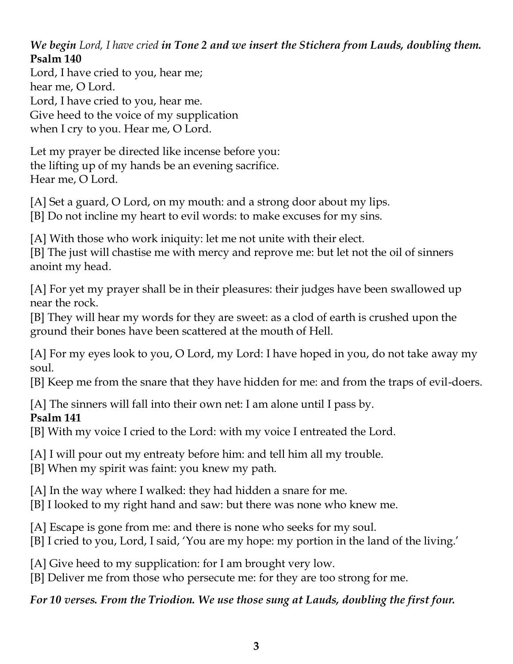*We begin Lord, I have cried in Tone 2 and we insert the Stichera from Lauds, doubling them.* **Psalm 140**

Lord, I have cried to you, hear me; hear me, O Lord. Lord, I have cried to you, hear me. Give heed to the voice of my supplication when I cry to you. Hear me, O Lord.

Let my prayer be directed like incense before you: the lifting up of my hands be an evening sacrifice. Hear me, O Lord.

[A] Set a guard, O Lord, on my mouth: and a strong door about my lips.

[B] Do not incline my heart to evil words: to make excuses for my sins.

[A] With those who work iniquity: let me not unite with their elect. [B] The just will chastise me with mercy and reprove me: but let not the oil of sinners anoint my head.

[A] For yet my prayer shall be in their pleasures: their judges have been swallowed up near the rock.

[B] They will hear my words for they are sweet: as a clod of earth is crushed upon the ground their bones have been scattered at the mouth of Hell.

[A] For my eyes look to you, O Lord, my Lord: I have hoped in you, do not take away my soul.

[B] Keep me from the snare that they have hidden for me: and from the traps of evil-doers.

[A] The sinners will fall into their own net: I am alone until I pass by.

# **Psalm 141**

[B] With my voice I cried to the Lord: with my voice I entreated the Lord.

[A] I will pour out my entreaty before him: and tell him all my trouble.

[B] When my spirit was faint: you knew my path.

[A] In the way where I walked: they had hidden a snare for me.

[B] I looked to my right hand and saw: but there was none who knew me.

[A] Escape is gone from me: and there is none who seeks for my soul.

[B] I cried to you, Lord, I said, 'You are my hope: my portion in the land of the living.'

[A] Give heed to my supplication: for I am brought very low.

[B] Deliver me from those who persecute me: for they are too strong for me.

*For 10 verses. From the Triodion. We use those sung at Lauds, doubling the first four.*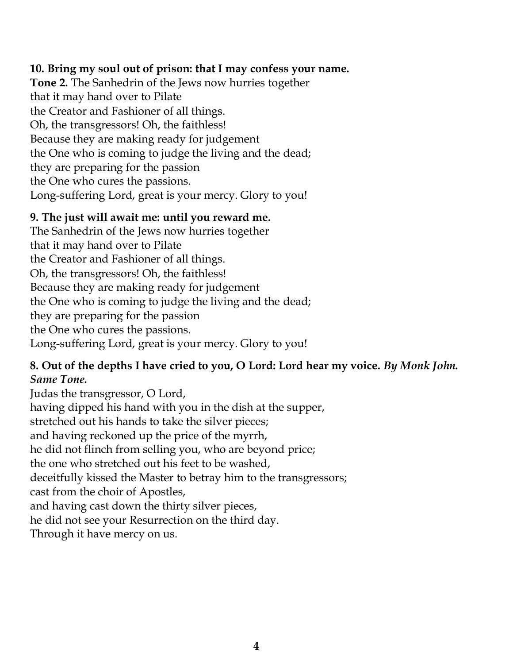#### **10. Bring my soul out of prison: that I may confess your name.**

**Tone 2.** The Sanhedrin of the Jews now hurries together that it may hand over to Pilate the Creator and Fashioner of all things. Oh, the transgressors! Oh, the faithless! Because they are making ready for judgement the One who is coming to judge the living and the dead; they are preparing for the passion the One who cures the passions. Long-suffering Lord, great is your mercy. Glory to you!

#### **9. The just will await me: until you reward me.**

The Sanhedrin of the Jews now hurries together that it may hand over to Pilate the Creator and Fashioner of all things. Oh, the transgressors! Oh, the faithless! Because they are making ready for judgement the One who is coming to judge the living and the dead; they are preparing for the passion the One who cures the passions. Long-suffering Lord, great is your mercy. Glory to you!

#### **8. Out of the depths I have cried to you, O Lord: Lord hear my voice.** *By Monk John. Same Tone.*

Judas the transgressor, O Lord, having dipped his hand with you in the dish at the supper, stretched out his hands to take the silver pieces; and having reckoned up the price of the myrrh, he did not flinch from selling you, who are beyond price; the one who stretched out his feet to be washed, deceitfully kissed the Master to betray him to the transgressors; cast from the choir of Apostles, and having cast down the thirty silver pieces, he did not see your Resurrection on the third day. Through it have mercy on us.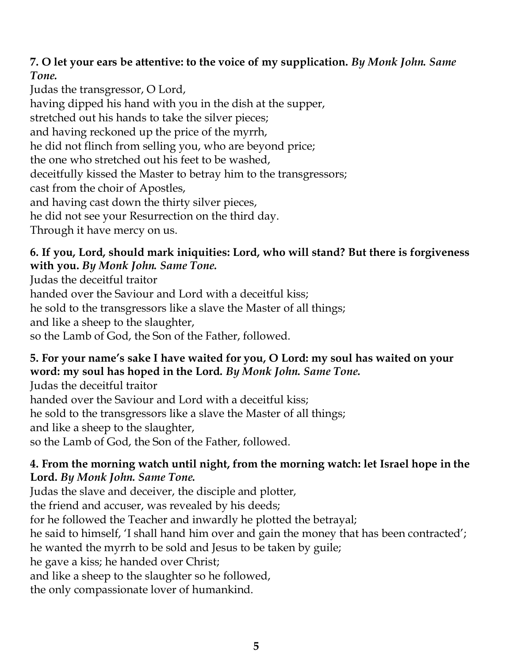# **7. O let your ears be attentive: to the voice of my supplication.** *By Monk John. Same Tone.*

Judas the transgressor, O Lord, having dipped his hand with you in the dish at the supper, stretched out his hands to take the silver pieces; and having reckoned up the price of the myrrh, he did not flinch from selling you, who are beyond price; the one who stretched out his feet to be washed, deceitfully kissed the Master to betray him to the transgressors; cast from the choir of Apostles, and having cast down the thirty silver pieces, he did not see your Resurrection on the third day. Through it have mercy on us.

## **6. If you, Lord, should mark iniquities: Lord, who will stand? But there is forgiveness with you.** *By Monk John. Same Tone.*

Judas the deceitful traitor

handed over the Saviour and Lord with a deceitful kiss;

he sold to the transgressors like a slave the Master of all things;

and like a sheep to the slaughter,

so the Lamb of God, the Son of the Father, followed.

# **5. For your name's sake I have waited for you, O Lord: my soul has waited on your word: my soul has hoped in the Lord.** *By Monk John. Same Tone.*

Judas the deceitful traitor handed over the Saviour and Lord with a deceitful kiss; he sold to the transgressors like a slave the Master of all things; and like a sheep to the slaughter, so the Lamb of God, the Son of the Father, followed.

# **4. From the morning watch until night, from the morning watch: let Israel hope in the Lord.** *By Monk John. Same Tone.*

Judas the slave and deceiver, the disciple and plotter, the friend and accuser, was revealed by his deeds; for he followed the Teacher and inwardly he plotted the betrayal; he said to himself, 'I shall hand him over and gain the money that has been contracted'; he wanted the myrrh to be sold and Jesus to be taken by guile; he gave a kiss; he handed over Christ; and like a sheep to the slaughter so he followed, the only compassionate lover of humankind.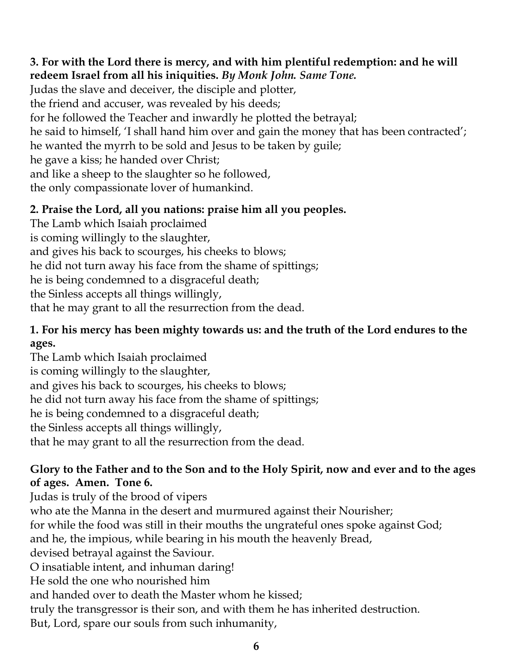## **3. For with the Lord there is mercy, and with him plentiful redemption: and he will redeem Israel from all his iniquities.** *By Monk John. Same Tone.*

Judas the slave and deceiver, the disciple and plotter, the friend and accuser, was revealed by his deeds; for he followed the Teacher and inwardly he plotted the betrayal; he said to himself, 'I shall hand him over and gain the money that has been contracted'; he wanted the myrrh to be sold and Jesus to be taken by guile; he gave a kiss; he handed over Christ; and like a sheep to the slaughter so he followed, the only compassionate lover of humankind.

# **2. Praise the Lord, all you nations: praise him all you peoples.**

The Lamb which Isaiah proclaimed is coming willingly to the slaughter, and gives his back to scourges, his cheeks to blows; he did not turn away his face from the shame of spittings; he is being condemned to a disgraceful death; the Sinless accepts all things willingly, that he may grant to all the resurrection from the dead.

#### **1. For his mercy has been mighty towards us: and the truth of the Lord endures to the ages.**

The Lamb which Isaiah proclaimed is coming willingly to the slaughter, and gives his back to scourges, his cheeks to blows; he did not turn away his face from the shame of spittings; he is being condemned to a disgraceful death; the Sinless accepts all things willingly, that he may grant to all the resurrection from the dead.

## **Glory to the Father and to the Son and to the Holy Spirit, now and ever and to the ages of ages. Amen. Tone 6.**

Judas is truly of the brood of vipers who ate the Manna in the desert and murmured against their Nourisher; for while the food was still in their mouths the ungrateful ones spoke against God; and he, the impious, while bearing in his mouth the heavenly Bread, devised betrayal against the Saviour. O insatiable intent, and inhuman daring! He sold the one who nourished him and handed over to death the Master whom he kissed; truly the transgressor is their son, and with them he has inherited destruction. But, Lord, spare our souls from such inhumanity,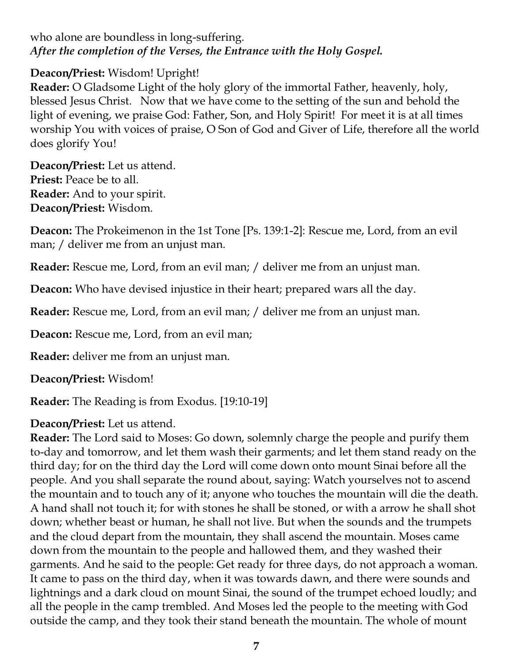who alone are boundless in long-suffering. *After the completion of the Verses, the Entrance with the Holy Gospel.*

## **Deacon/Priest:** Wisdom! Upright!

**Reader:** O Gladsome Light of the holy glory of the immortal Father, heavenly, holy, blessed Jesus Christ. Now that we have come to the setting of the sun and behold the light of evening, we praise God: Father, Son, and Holy Spirit! For meet it is at all times worship You with voices of praise, O Son of God and Giver of Life, therefore all the world does glorify You!

**Deacon/Priest:** Let us attend. **Priest:** Peace be to all. **Reader:** And to your spirit. **Deacon/Priest:** Wisdom.

**Deacon:** The Prokeimenon in the 1st Tone [Ps. 139:1-2]: Rescue me, Lord, from an evil man; / deliver me from an unjust man.

**Reader:** Rescue me, Lord, from an evil man; / deliver me from an unjust man.

**Deacon:** Who have devised injustice in their heart; prepared wars all the day.

**Reader:** Rescue me, Lord, from an evil man; / deliver me from an unjust man.

**Deacon:** Rescue me, Lord, from an evil man;

**Reader:** deliver me from an unjust man.

**Deacon/Priest:** Wisdom!

**Reader:** The Reading is from Exodus. [19:10-19]

# **Deacon/Priest:** Let us attend.

**Reader:** The Lord said to Moses: Go down, solemnly charge the people and purify them to-day and tomorrow, and let them wash their garments; and let them stand ready on the third day; for on the third day the Lord will come down onto mount Sinai before all the people. And you shall separate the round about, saying: Watch yourselves not to ascend the mountain and to touch any of it; anyone who touches the mountain will die the death. A hand shall not touch it; for with stones he shall be stoned, or with a arrow he shall shot down; whether beast or human, he shall not live. But when the sounds and the trumpets and the cloud depart from the mountain, they shall ascend the mountain. Moses came down from the mountain to the people and hallowed them, and they washed their garments. And he said to the people: Get ready for three days, do not approach a woman. It came to pass on the third day, when it was towards dawn, and there were sounds and lightnings and a dark cloud on mount Sinai, the sound of the trumpet echoed loudly; and all the people in the camp trembled. And Moses led the people to the meeting with God outside the camp, and they took their stand beneath the mountain. The whole of mount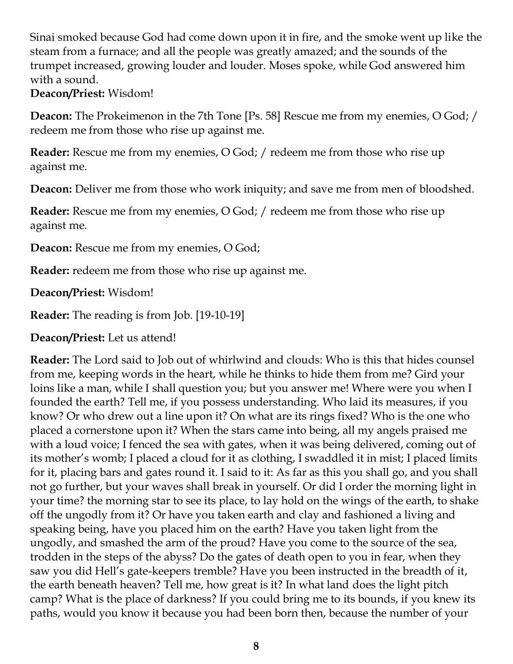Sinai smoked because God had come down upon it in fire, and the smoke went up like the steam from a furnace; and all the people was greatly amazed; and the sounds of the trumpet increased, growing louder and louder. Moses spoke, while God answered him with a sound.

#### **Deacon/Priest:** Wisdom!

**Deacon:** The Prokeimenon in the 7th Tone [Ps. 58] Rescue me from my enemies, O God; / redeem me from those who rise up against me.

**Reader:** Rescue me from my enemies, O God; / redeem me from those who rise up against me.

**Deacon:** Deliver me from those who work iniquity; and save me from men of bloodshed.

**Reader:** Rescue me from my enemies, O God; / redeem me from those who rise up against me.

**Deacon:** Rescue me from my enemies, O God;

**Reader:** redeem me from those who rise up against me.

**Deacon/Priest:** Wisdom!

**Reader:** The reading is from Job. [19-10-19]

**Deacon/Priest:** Let us attend!

**Reader:** The Lord said to Job out of whirlwind and clouds: Who is this that hides counsel from me, keeping words in the heart, while he thinks to hide them from me? Gird your loins like a man, while I shall question you; but you answer me! Where were you when I founded the earth? Tell me, if you possess understanding. Who laid its measures, if you know? Or who drew out a line upon it? On what are its rings fixed? Who is the one who placed a cornerstone upon it? When the stars came into being, all my angels praised me with a loud voice; I fenced the sea with gates, when it was being delivered, coming out of its mother's womb; I placed a cloud for it as clothing, I swaddled it in mist; I placed limits for it, placing bars and gates round it. I said to it: As far as this you shall go, and you shall not go further, but your waves shall break in yourself. Or did I order the morning light in your time? the morning star to see its place, to lay hold on the wings of the earth, to shake off the ungodly from it? Or have you taken earth and clay and fashioned a living and speaking being, have you placed him on the earth? Have you taken light from the ungodly, and smashed the arm of the proud? Have you come to the source of the sea, trodden in the steps of the abyss? Do the gates of death open to you in fear, when they saw you did Hell's gate-keepers tremble? Have you been instructed in the breadth of it, the earth beneath heaven? Tell me, how great is it? In what land does the light pitch camp? What is the place of darkness? If you could bring me to its bounds, if you knew its paths, would you know it because you had been born then, because the number of your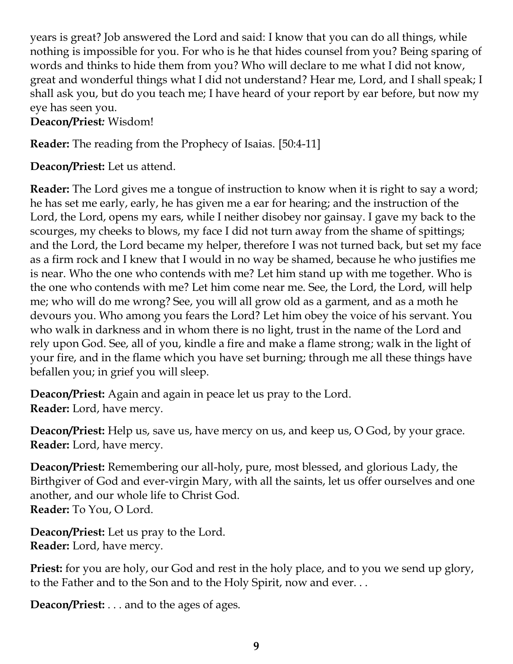years is great? Job answered the Lord and said: I know that you can do all things, while nothing is impossible for you. For who is he that hides counsel from you? Being sparing of words and thinks to hide them from you? Who will declare to me what I did not know, great and wonderful things what I did not understand? Hear me, Lord, and I shall speak; I shall ask you, but do you teach me; I have heard of your report by ear before, but now my eye has seen you.

**Deacon/Priest***:* Wisdom!

**Reader:** The reading from the Prophecy of Isaias. [50:4-11]

**Deacon/Priest:** Let us attend.

**Reader:** The Lord gives me a tongue of instruction to know when it is right to say a word; he has set me early, early, he has given me a ear for hearing; and the instruction of the Lord, the Lord, opens my ears, while I neither disobey nor gainsay. I gave my back to the scourges, my cheeks to blows, my face I did not turn away from the shame of spittings; and the Lord, the Lord became my helper, therefore I was not turned back, but set my face as a firm rock and I knew that I would in no way be shamed, because he who justifies me is near. Who the one who contends with me? Let him stand up with me together. Who is the one who contends with me? Let him come near me. See, the Lord, the Lord, will help me; who will do me wrong? See, you will all grow old as a garment, and as a moth he devours you. Who among you fears the Lord? Let him obey the voice of his servant. You who walk in darkness and in whom there is no light, trust in the name of the Lord and rely upon God. See, all of you, kindle a fire and make a flame strong; walk in the light of your fire, and in the flame which you have set burning; through me all these things have befallen you; in grief you will sleep.

**Deacon/Priest:** Again and again in peace let us pray to the Lord. **Reader:** Lord, have mercy.

**Deacon/Priest:** Help us, save us, have mercy on us, and keep us, O God, by your grace. **Reader:** Lord, have mercy.

**Deacon/Priest:** Remembering our all-holy, pure, most blessed, and glorious Lady, the Birthgiver of God and ever-virgin Mary, with all the saints, let us offer ourselves and one another, and our whole life to Christ God. **Reader:** To You, O Lord.

**Deacon/Priest:** Let us pray to the Lord. **Reader:** Lord, have mercy.

**Priest:** for you are holy, our God and rest in the holy place, and to you we send up glory, to the Father and to the Son and to the Holy Spirit, now and ever. . .

**Deacon/Priest:** . . . and to the ages of ages.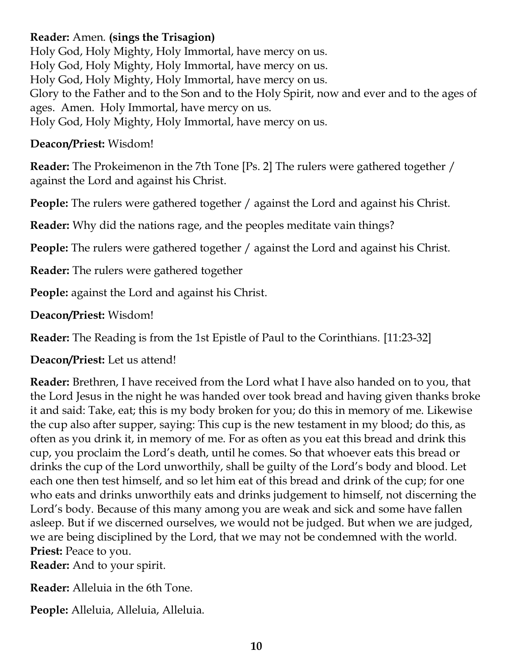## **Reader:** Amen. **(sings the Trisagion)**

Holy God, Holy Mighty, Holy Immortal, have mercy on us. Holy God, Holy Mighty, Holy Immortal, have mercy on us. Holy God, Holy Mighty, Holy Immortal, have mercy on us. Glory to the Father and to the Son and to the Holy Spirit, now and ever and to the ages of ages. Amen. Holy Immortal, have mercy on us. Holy God, Holy Mighty, Holy Immortal, have mercy on us.

#### **Deacon/Priest:** Wisdom!

**Reader:** The Prokeimenon in the 7th Tone [Ps. 2] The rulers were gathered together / against the Lord and against his Christ.

**People:** The rulers were gathered together / against the Lord and against his Christ.

**Reader:** Why did the nations rage, and the peoples meditate vain things?

**People:** The rulers were gathered together / against the Lord and against his Christ.

**Reader:** The rulers were gathered together

**People:** against the Lord and against his Christ.

**Deacon/Priest:** Wisdom!

**Reader:** The Reading is from the 1st Epistle of Paul to the Corinthians. [11:23-32]

**Deacon/Priest:** Let us attend!

**Reader:** Brethren, I have received from the Lord what I have also handed on to you, that the Lord Jesus in the night he was handed over took bread and having given thanks broke it and said: Take, eat; this is my body broken for you; do this in memory of me. Likewise the cup also after supper, saying: This cup is the new testament in my blood; do this, as often as you drink it, in memory of me. For as often as you eat this bread and drink this cup, you proclaim the Lord's death, until he comes. So that whoever eats this bread or drinks the cup of the Lord unworthily, shall be guilty of the Lord's body and blood. Let each one then test himself, and so let him eat of this bread and drink of the cup; for one who eats and drinks unworthily eats and drinks judgement to himself, not discerning the Lord's body. Because of this many among you are weak and sick and some have fallen asleep. But if we discerned ourselves, we would not be judged. But when we are judged, we are being disciplined by the Lord, that we may not be condemned with the world. **Priest:** Peace to you.

**Reader:** And to your spirit.

**Reader:** Alleluia in the 6th Tone.

**People:** Alleluia, Alleluia, Alleluia.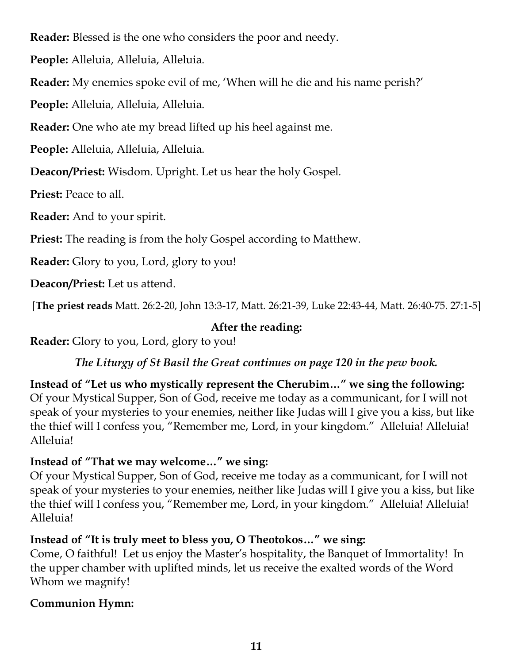**Reader:** Blessed is the one who considers the poor and needy.

**People:** Alleluia, Alleluia, Alleluia.

**Reader:** My enemies spoke evil of me, 'When will he die and his name perish?'

**People:** Alleluia, Alleluia, Alleluia.

**Reader:** One who ate my bread lifted up his heel against me.

**People:** Alleluia, Alleluia, Alleluia.

**Deacon/Priest:** Wisdom. Upright. Let us hear the holy Gospel.

**Priest:** Peace to all.

**Reader:** And to your spirit.

**Priest:** The reading is from the holy Gospel according to Matthew.

**Reader:** Glory to you, Lord, glory to you!

**Deacon/Priest:** Let us attend.

[**The priest reads** Matt. 26:2-20, John 13:3-17, Matt. 26:21-39, Luke 22:43-44, Matt. 26:40-75. 27:1-5]

# **After the reading:**

**Reader:** Glory to you, Lord, glory to you!

*The Liturgy of St Basil the Great continues on page 120 in the pew book.*

**Instead of "Let us who mystically represent the Cherubim…" we sing the following:** Of your Mystical Supper, Son of God, receive me today as a communicant, for I will not speak of your mysteries to your enemies, neither like Judas will I give you a kiss, but like the thief will I confess you, "Remember me, Lord, in your kingdom." Alleluia! Alleluia! Alleluia!

# **Instead of "That we may welcome…" we sing:**

Of your Mystical Supper, Son of God, receive me today as a communicant, for I will not speak of your mysteries to your enemies, neither like Judas will I give you a kiss, but like the thief will I confess you, "Remember me, Lord, in your kingdom." Alleluia! Alleluia! Alleluia!

# **Instead of "It is truly meet to bless you, O Theotokos…" we sing:**

Come, O faithful! Let us enjoy the Master's hospitality, the Banquet of Immortality! In the upper chamber with uplifted minds, let us receive the exalted words of the Word Whom we magnify!

# **Communion Hymn:**